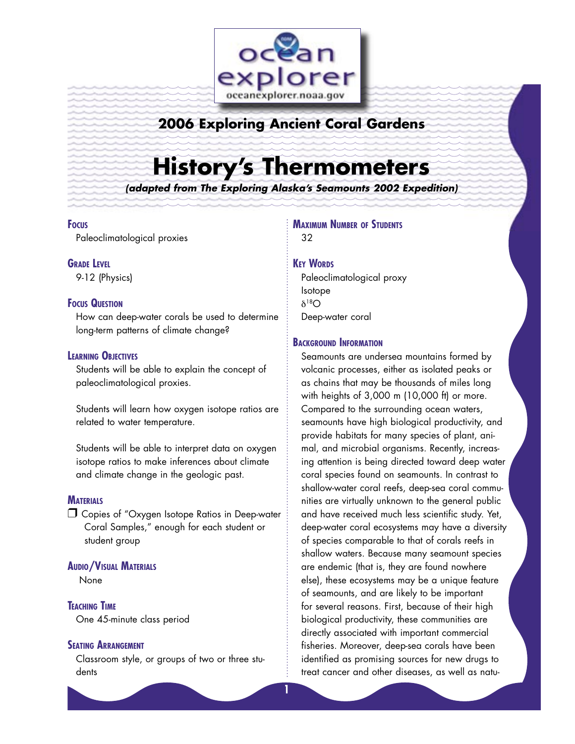

## **2006 Exploring Ancient Coral Gardens**

# **History's Thermometers**

**(adapted from The Exploring Alaska's Seamounts 2002 Expedition)**

#### **FOCUS**

Paleoclimatological proxies

#### **GRADE LEVEL**

9-12 (Physics)

#### **FOCUS QUESTION**

How can deep-water corals be used to determine long-term patterns of climate change?

#### **LEARNING OBJECTIVES**

Students will be able to explain the concept of paleoclimatological proxies.

Students will learn how oxygen isotope ratios are related to water temperature.

Students will be able to interpret data on oxygen isotope ratios to make inferences about climate and climate change in the geologic past.

#### **MATERIALS**

□ Copies of "Oxygen Isotope Ratios in Deep-water Coral Samples," enough for each student or student group

#### **AUDIO/VISUAL MATERIALS**

None

**TEACHING TIME** One 45-minute class period

#### **SEATING ARRANGEMENT**

Classroom style, or groups of two or three students

**MAXIMUM NUMBER OF STUDENTS** 32

#### **KEY WORDS**

Paleoclimatological proxy Isotope δ18O Deep-water coral

#### **BACKGROUND INFORMATION**

Seamounts are undersea mountains formed by volcanic processes, either as isolated peaks or as chains that may be thousands of miles long with heights of 3,000 m (10,000 ft) or more. Compared to the surrounding ocean waters, seamounts have high biological productivity, and provide habitats for many species of plant, animal, and microbial organisms. Recently, increasing attention is being directed toward deep water coral species found on seamounts. In contrast to shallow-water coral reefs, deep-sea coral communities are virtually unknown to the general public and have received much less scientific study. Yet, deep-water coral ecosystems may have a diversity of species comparable to that of corals reefs in shallow waters. Because many seamount species are endemic (that is, they are found nowhere else), these ecosystems may be a unique feature of seamounts, and are likely to be important for several reasons. First, because of their high biological productivity, these communities are directly associated with important commercial fisheries. Moreover, deep-sea corals have been identified as promising sources for new drugs to treat cancer and other diseases, as well as natu-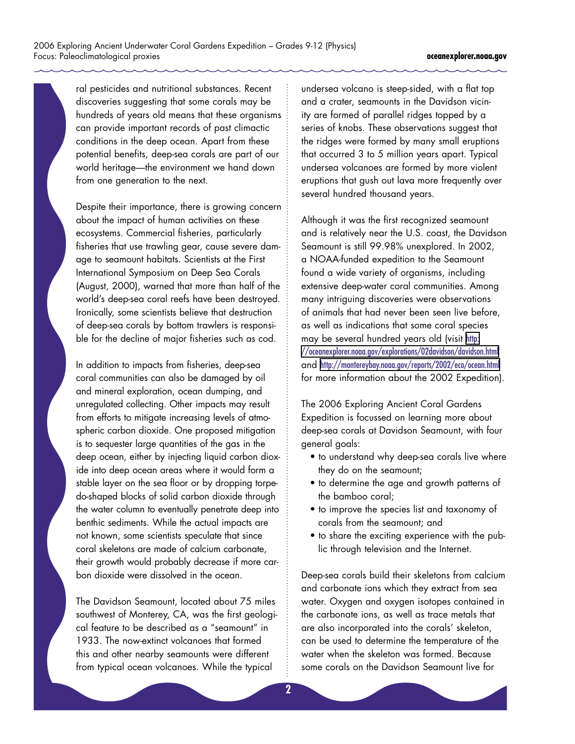ral pesticides and nutritional substances. Recent discoveries suggesting that some corals may be hundreds of years old means that these organisms can provide important records of past climactic conditions in the deep ocean. Apart from these potential benefits, deep-sea corals are part of our world heritage—the environment we hand down from one generation to the next.

Despite their importance, there is growing concern about the impact of human activities on these ecosystems. Commercial fisheries, particularly fisheries that use trawling gear, cause severe damage to seamount habitats. Scientists at the First International Symposium on Deep Sea Corals (August, 2000), warned that more than half of the world's deep-sea coral reefs have been destroyed. Ironically, some scientists believe that destruction of deep-sea corals by bottom trawlers is responsible for the decline of major fisheries such as cod.

In addition to impacts from fisheries, deep-sea coral communities can also be damaged by oil and mineral exploration, ocean dumping, and unregulated collecting. Other impacts may result from efforts to mitigate increasing levels of atmospheric carbon dioxide. One proposed mitigation is to sequester large quantities of the gas in the deep ocean, either by injecting liquid carbon dioxide into deep ocean areas where it would form a stable layer on the sea floor or by dropping torpedo-shaped blocks of solid carbon dioxide through the water column to eventually penetrate deep into benthic sediments. While the actual impacts are not known, some scientists speculate that since coral skeletons are made of calcium carbonate, their growth would probably decrease if more carbon dioxide were dissolved in the ocean.

The Davidson Seamount, located about 75 miles southwest of Monterey, CA, was the first geological feature to be described as a "seamount" in 1933. The now-extinct volcanoes that formed this and other nearby seamounts were different from typical ocean volcanoes. While the typical

undersea volcano is steep-sided, with a flat top and a crater, seamounts in the Davidson vicinity are formed of parallel ridges topped by a series of knobs. These observations suggest that the ridges were formed by many small eruptions that occurred 3 to 5 million years apart. Typical undersea volcanoes are formed by more violent eruptions that gush out lava more frequently over several hundred thousand years.

Although it was the first recognized seamount and is relatively near the U.S. coast, the Davidson Seamount is still 99.98% unexplored. In 2002, a NOAA-funded expedition to the Seamount found a wide variety of organisms, including extensive deep-water coral communities. Among many intriguing discoveries were observations of animals that had never been seen live before, as well as indications that some coral species may be several hundred years old (visit [http:](http://oceanexplorer.noaa.gov/explorations/02davidson/davidson.html) [//oceanexplorer.noaa.gov/explorations/02davidson/davidson.html](http://oceanexplorer.noaa.gov/explorations/02davidson/davidson.html) and <http://montereybay.noaa.gov/reports/2002/eco/ocean.html> for more information about the 2002 Expedition).

The 2006 Exploring Ancient Coral Gardens Expedition is focussed on learning more about deep-sea corals at Davidson Seamount, with four general goals:

- to understand why deep-sea corals live where they do on the seamount;
- to determine the age and growth patterns of the bamboo coral;
- to improve the species list and taxonomy of corals from the seamount; and
- to share the exciting experience with the public through television and the Internet.

Deep-sea corals build their skeletons from calcium and carbonate ions which they extract from sea water. Oxygen and oxygen isotopes contained in the carbonate ions, as well as trace metals that are also incorporated into the corals' skeleton, can be used to determine the temperature of the water when the skeleton was formed. Because some corals on the Davidson Seamount live for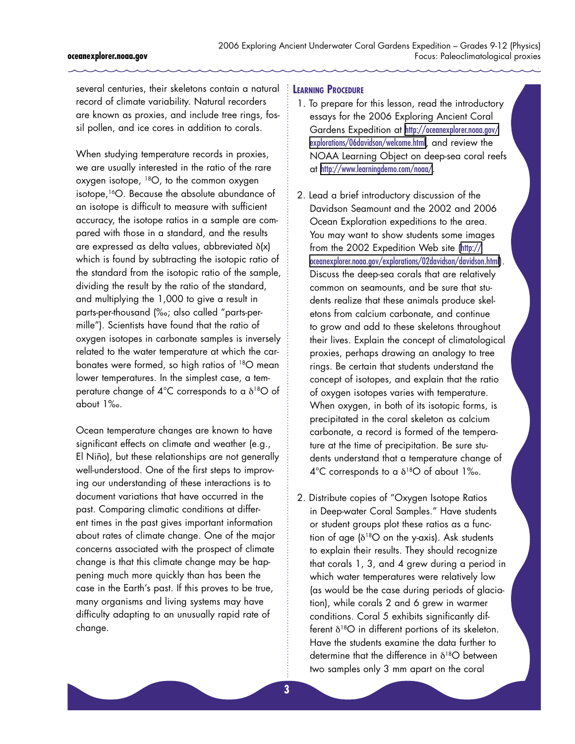several centuries, their skeletons contain a natural **LEARNING PROCEDURE** record of climate variability. Natural recorders are known as proxies, and include tree rings, fossil pollen, and ice cores in addition to corals.

When studying temperature records in proxies, we are usually interested in the ratio of the rare oxygen isotope, 18O, to the common oxygen isotope,16O. Because the absolute abundance of an isotope is difficult to measure with sufficient accuracy, the isotope ratios in a sample are compared with those in a standard, and the results are expressed as delta values, abbreviated δ(x) which is found by subtracting the isotopic ratio of the standard from the isotopic ratio of the sample, dividing the result by the ratio of the standard, and multiplying the 1,000 to give a result in parts-per-thousand (‰; also called "parts-permille"). Scientists have found that the ratio of oxygen isotopes in carbonate samples is inversely related to the water temperature at which the carbonates were formed, so high ratios of 18O mean lower temperatures. In the simplest case, a temperature change of  $4^{\circ}$ C corresponds to a  $\delta^{18}$ O of about 1‰.

Ocean temperature changes are known to have significant effects on climate and weather (e.g., El Niño), but these relationships are not generally well-understood. One of the first steps to improving our understanding of these interactions is to document variations that have occurred in the past. Comparing climatic conditions at different times in the past gives important information about rates of climate change. One of the major concerns associated with the prospect of climate change is that this climate change may be happening much more quickly than has been the case in the Earth's past. If this proves to be true, many organisms and living systems may have difficulty adapting to an unusually rapid rate of change.

- 1. To prepare for this lesson, read the introductory essays for the 2006 Exploring Ancient Coral Gardens Expedition at [http://oceanexplorer.noaa.gov/](http://oceanexplorer.noaa.gov/explorations/06davidson/welcome.html) [explorations/06davidson/welcome.html](http://oceanexplorer.noaa.gov/explorations/06davidson/welcome.html), and review the NOAA Learning Object on deep-sea coral reefs at <http://www.learningdemo.com/noaa/>.
- 2. Lead a brief introductory discussion of the Davidson Seamount and the 2002 and 2006 Ocean Exploration expeditions to the area. You may want to show students some images from the 2002 Expedition Web site ([http://](http://oceanexplorer.noaa.gov/explorations/02davidson/davidson.html) [oceanexplorer.noaa.gov/explorations/02davidson/davidson.html](http://oceanexplorer.noaa.gov/explorations/02davidson/davidson.html)). Discuss the deep-sea corals that are relatively common on seamounts, and be sure that students realize that these animals produce skeletons from calcium carbonate, and continue to grow and add to these skeletons throughout their lives. Explain the concept of climatological proxies, perhaps drawing an analogy to tree rings. Be certain that students understand the concept of isotopes, and explain that the ratio of oxygen isotopes varies with temperature. When oxygen, in both of its isotopic forms, is precipitated in the coral skeleton as calcium carbonate, a record is formed of the temperature at the time of precipitation. Be sure students understand that a temperature change of  $4^{\circ}$ C corresponds to a  $\delta^{18}$ O of about 1‰.
- 2. Distribute copies of "Oxygen Isotope Ratios in Deep-water Coral Samples." Have students or student groups plot these ratios as a function of age  $\delta^{18}O$  on the y-axis). Ask students to explain their results. They should recognize that corals 1, 3, and 4 grew during a period in which water temperatures were relatively low (as would be the case during periods of glaciation), while corals 2 and 6 grew in warmer conditions. Coral 5 exhibits significantly different  $\delta^{18}O$  in different portions of its skeleton. Have the students examine the data further to determine that the difference in  $\delta^{18}O$  between two samples only 3 mm apart on the coral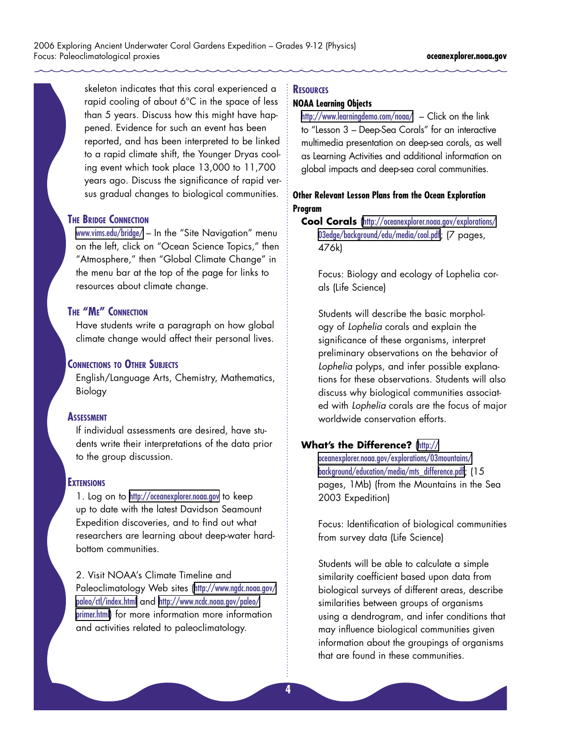skeleton indicates that this coral experienced a rapid cooling of about 6°C in the space of less than 5 years. Discuss how this might have happened. Evidence for such an event has been reported, and has been interpreted to be linked to a rapid climate shift, the Younger Dryas cooling event which took place 13,000 to 11,700 years ago. Discuss the significance of rapid versus gradual changes to biological communities.

#### **THE BRIDGE CONNECTION**

<www.vims.edu/bridge/> – In the "Site Navigation" menu on the left, click on "Ocean Science Topics," then "Atmosphere," then "Global Climate Change" in the menu bar at the top of the page for links to resources about climate change.

#### **THE "ME" CONNECTION**

Have students write a paragraph on how global climate change would affect their personal lives.

#### **CONNECTIONS TO OTHER SUBJECTS**

English/Language Arts, Chemistry, Mathematics, Biology

#### **ASSESSMENT**

If individual assessments are desired, have students write their interpretations of the data prior to the group discussion.

#### **EXTENSIONS**

1. Log on to <http://oceanexplorer.noaa.gov> to keep up to date with the latest Davidson Seamount Expedition discoveries, and to find out what researchers are learning about deep-water hardbottom communities.

2. Visit NOAA's Climate Timeline and Paleoclimatology Web sites ([http://www.ngdc.noaa.gov/](http://www.ngdc.noaa.gov/paleo/ctl/index.html) [paleo/ctl/index.html](http://www.ngdc.noaa.gov/paleo/ctl/index.html) and [http://www.ncdc.noaa.gov/paleo/](http://www.ncdc.noaa.gov/paleo/primer.html) [primer.html](http://www.ncdc.noaa.gov/paleo/primer.html)) for more information more information and activities related to paleoclimatology.

#### **RESOURCES**

#### **NOAA Learning Objects**

<http://www.learningdemo.com/noaa/> – Click on the link to "Lesson 3 – Deep-Sea Corals" for an interactive multimedia presentation on deep-sea corals, as well as Learning Activities and additional information on global impacts and deep-sea coral communities.

#### **Other Relevant Lesson Plans from the Ocean Exploration Program**

**Cool Corals** ([http://oceanexplorer.noaa.gov/explorations/](http://oceanexplorer.noaa.gov/explorations/03edge/background/edu/media/cool.pdf) [03edge/background/edu/media/cool.pdf](http://oceanexplorer.noaa.gov/explorations/03edge/background/edu/media/cool.pdf); (7 pages, 476k)

Focus: Biology and ecology of Lophelia corals (Life Science)

Students will describe the basic morphology of Lophelia corals and explain the significance of these organisms, interpret preliminary observations on the behavior of Lophelia polyps, and infer possible explanations for these observations. Students will also discuss why biological communities associated with Lophelia corals are the focus of major worldwide conservation efforts.

#### **What's the Difference?** ([http://](http://oceanexplorer.noaa.gov/explorations/03mountains/background/education/media/mts_difference.pdf)

[oceanexplorer.noaa.gov/explorations/03mountains/](http://oceanexplorer.noaa.gov/explorations/03mountains/background/education/media/mts_difference.pdf) [background/education/media/mts\\_difference.pdf](http://oceanexplorer.noaa.gov/explorations/03mountains/background/education/media/mts_difference.pdf); (15 pages, 1Mb) (from the Mountains in the Sea 2003 Expedition)

Focus: Identification of biological communities from survey data (Life Science)

Students will be able to calculate a simple similarity coefficient based upon data from biological surveys of different areas, describe similarities between groups of organisms using a dendrogram, and infer conditions that may influence biological communities given information about the groupings of organisms that are found in these communities.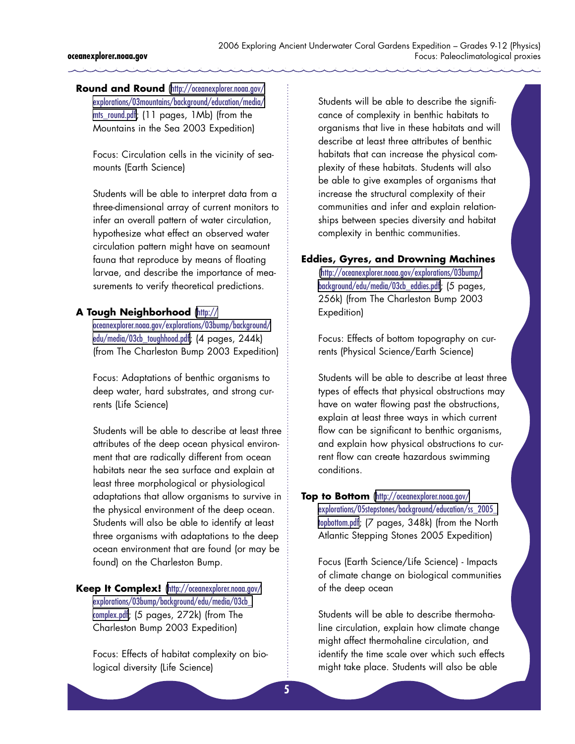**Round and Round** ([http://oceanexplorer.noaa.gov/](http://oceanexplorer.noaa.gov/explorations/03mountains/background/education/media/mts_round.pdf) [explorations/03mountains/background/education/media/](http://oceanexplorer.noaa.gov/explorations/03mountains/background/education/media/mts_round.pdf) mts round.pdf; (11 pages, 1Mb) (from the Mountains in the Sea 2003 Expedition)

Focus: Circulation cells in the vicinity of seamounts (Earth Science)

Students will be able to interpret data from a three-dimensional array of current monitors to infer an overall pattern of water circulation, hypothesize what effect an observed water circulation pattern might have on seamount fauna that reproduce by means of floating larvae, and describe the importance of measurements to verify theoretical predictions.

#### **A Tough Neighborhood** ([http://](http://oceanexplorer.noaa.gov/explorations/03bump/background/edu/media/03cb_toughhood.pdf)

[oceanexplorer.noaa.gov/explorations/03bump/background/](http://oceanexplorer.noaa.gov/explorations/03bump/background/edu/media/03cb_toughhood.pdf) [edu/media/03cb\\_toughhood.pdf](http://oceanexplorer.noaa.gov/explorations/03bump/background/edu/media/03cb_toughhood.pdf); (4 pages, 244k) (from The Charleston Bump 2003 Expedition)

Focus: Adaptations of benthic organisms to deep water, hard substrates, and strong currents (Life Science)

Students will be able to describe at least three attributes of the deep ocean physical environment that are radically different from ocean habitats near the sea surface and explain at least three morphological or physiological adaptations that allow organisms to survive in the physical environment of the deep ocean. Students will also be able to identify at least three organisms with adaptations to the deep ocean environment that are found (or may be found) on the Charleston Bump.

Keep It Complex! ([http://oceanexplorer.noaa.gov/](http://oceanexplorer.noaa.gov/explorations/03bump/background/edu/media/03cb_complex.pdf) [explorations/03bump/background/edu/media/03cb\\_](http://oceanexplorer.noaa.gov/explorations/03bump/background/edu/media/03cb_complex.pdf) [complex.pdf](http://oceanexplorer.noaa.gov/explorations/03bump/background/edu/media/03cb_complex.pdf); (5 pages, 272k) (from The Charleston Bump 2003 Expedition)

Focus: Effects of habitat complexity on biological diversity (Life Science)

Students will be able to describe the significance of complexity in benthic habitats to organisms that live in these habitats and will describe at least three attributes of benthic habitats that can increase the physical complexity of these habitats. Students will also be able to give examples of organisms that increase the structural complexity of their communities and infer and explain relationships between species diversity and habitat complexity in benthic communities.

#### **Eddies, Gyres, and Drowning Machines**

([http://oceanexplorer.noaa.gov/explorations/03bump/](http://oceanexplorer.noaa.gov/explorations/03bump/background/edu/media/03cb_eddies.pdf) [background/edu/media/03cb\\_eddies.pdf](http://oceanexplorer.noaa.gov/explorations/03bump/background/edu/media/03cb_eddies.pdf); (5 pages, 256k) (from The Charleston Bump 2003 Expedition)

Focus: Effects of bottom topography on currents (Physical Science/Earth Science)

Students will be able to describe at least three types of effects that physical obstructions may have on water flowing past the obstructions, explain at least three ways in which current flow can be significant to benthic organisms, and explain how physical obstructions to current flow can create hazardous swimming conditions.

#### **Top to Bottom** ([http://oceanexplorer.noaa.gov/](http://oceanexplorer.noaa.gov/explorations/05stepstones/background/education/ss_2005_topbottom.pdf) [explorations/05stepstones/background/education/ss\\_2005\\_](http://oceanexplorer.noaa.gov/explorations/05stepstones/background/education/ss_2005_topbottom.pdf) [topbottom.pdf](http://oceanexplorer.noaa.gov/explorations/05stepstones/background/education/ss_2005_topbottom.pdf); (7 pages, 348k) (from the North Atlantic Stepping Stones 2005 Expedition)

Focus (Earth Science/Life Science) - Impacts of climate change on biological communities of the deep ocean

Students will be able to describe thermohaline circulation, explain how climate change might affect thermohaline circulation, and identify the time scale over which such effects might take place. Students will also be able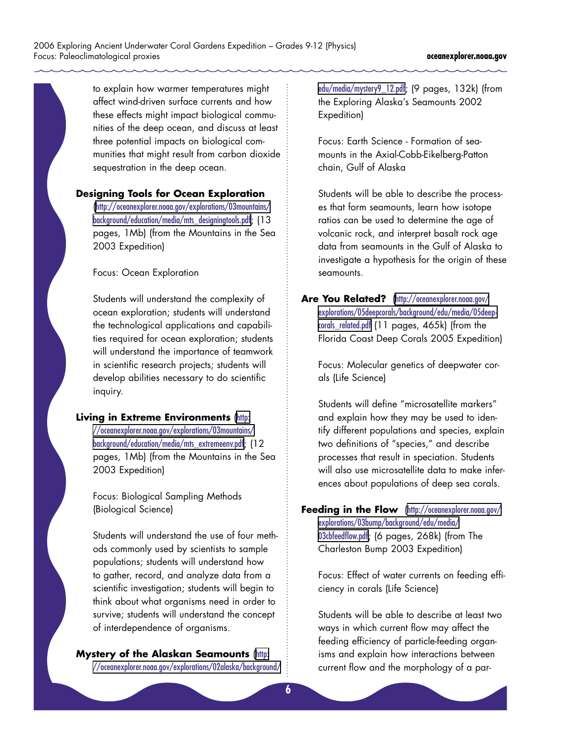to explain how warmer temperatures might affect wind-driven surface currents and how these effects might impact biological communities of the deep ocean, and discuss at least three potential impacts on biological communities that might result from carbon dioxide sequestration in the deep ocean.

#### **Designing Tools for Ocean Exploration**

([http://oceanexplorer.noaa.gov/explorations/03mountains/](http://oceanexplorer.noaa.gov/explorations/03mountains/background/education/media/mts_designingtools) [background/education/media/mts\\_designingtools.pdf](http://oceanexplorer.noaa.gov/explorations/03mountains/background/education/media/mts_designingtools); (13 pages, 1Mb) (from the Mountains in the Sea 2003 Expedition)

Focus: Ocean Exploration

Students will understand the complexity of ocean exploration; students will understand the technological applications and capabilities required for ocean exploration; students will understand the importance of teamwork in scientific research projects; students will develop abilities necessary to do scientific inquiry.

#### **Living in Extreme Environments ([http:](http://oceanexplorer.noaa.gov/explorations/03mountains/background/education/media/mts_extremeenv.pdf)**

[//oceanexplorer.noaa.gov/explorations/03mountains/](http://oceanexplorer.noaa.gov/explorations/03mountains/background/education/media/mts_extremeenv.pdf) [background/education/media/mts\\_extremeenv.pdf](http://oceanexplorer.noaa.gov/explorations/03mountains/background/education/media/mts_extremeenv.pdf); (12 pages, 1Mb) (from the Mountains in the Sea 2003 Expedition)

Focus: Biological Sampling Methods (Biological Science)

Students will understand the use of four methods commonly used by scientists to sample populations; students will understand how to gather, record, and analyze data from a scientific investigation; students will begin to think about what organisms need in order to survive; students will understand the concept of interdependence of organisms.

# **Mystery of the Alaskan Seamounts ([http:](http://oceanexplorer.noaa.gov/explorations/02alaska/background/edu/media/mystery9_12.pdf)**

[//oceanexplorer.noaa.gov/explorations/02alaska/background/](http://oceanexplorer.noaa.gov/explorations/02alaska/background/edu/media/mystery9_12.pdf)

[edu/media/mystery9\\_12.pdf](http://oceanexplorer.noaa.gov/explorations/02alaska/background/edu/media/mystery9_12.pdf); (9 pages, 132k) (from the Exploring Alaska's Seamounts 2002 Expedition)

Focus: Earth Science - Formation of seamounts in the Axial-Cobb-Eikelberg-Patton chain, Gulf of Alaska

Students will be able to describe the processes that form seamounts, learn how isotope ratios can be used to determine the age of volcanic rock, and interpret basalt rock age data from seamounts in the Gulf of Alaska to investigate a hypothesis for the origin of these seamounts.

**Are You Related?** ([http://oceanexplorer.noaa.gov/](http://oceanexplorer.noaa.gov/explorations/05deepcorals/background/edu/media/05deepcorals_related.pd) [explorations/05deepcorals/background/edu/media/05deep](http://oceanexplorer.noaa.gov/explorations/05deepcorals/background/edu/media/05deepcorals_related.pd)[corals\\_related.pdf](http://oceanexplorer.noaa.gov/explorations/05deepcorals/background/edu/media/05deepcorals_related.pd) (11 pages, 465k) (from the Florida Coast Deep Corals 2005 Expedition)

Focus: Molecular genetics of deepwater corals (Life Science)

Students will define "microsatellite markers" and explain how they may be used to identify different populations and species, explain two definitions of "species," and describe processes that result in speciation. Students will also use microsatellite data to make inferences about populations of deep sea corals.

#### **Feeding in the Flow** ([http://oceanexplorer.noaa.gov/](http://oceanexplorer.noaa.gov/explorations/03bump/background/edu/media/03cbfeedflow.pdf) [explorations/03bump/background/edu/media/](http://oceanexplorer.noaa.gov/explorations/03bump/background/edu/media/03cbfeedflow.pdf) [03cbfeedflow.pdf](http://oceanexplorer.noaa.gov/explorations/03bump/background/edu/media/03cbfeedflow.pdf); (6 pages, 268k) (from The

Charleston Bump 2003 Expedition)

Focus: Effect of water currents on feeding efficiency in corals (Life Science)

Students will be able to describe at least two ways in which current flow may affect the feeding efficiency of particle-feeding organisms and explain how interactions between current flow and the morphology of a par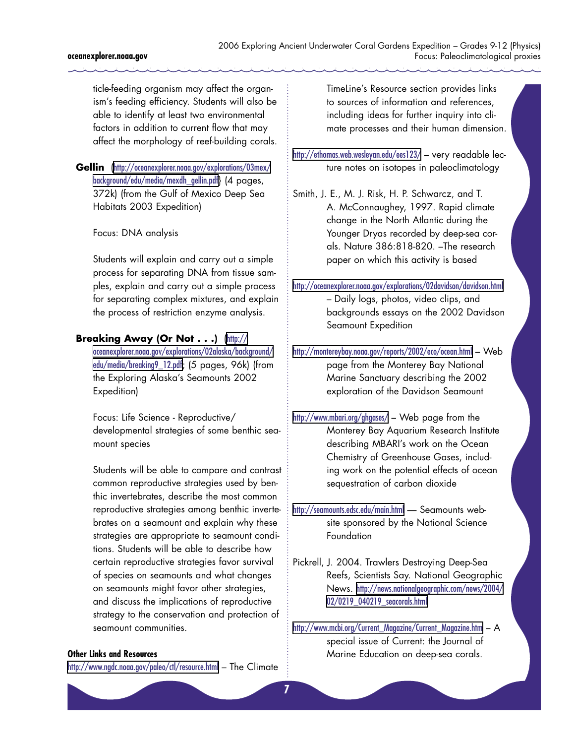ticle-feeding organism may affect the organism's feeding efficiency. Students will also be able to identify at least two environmental factors in addition to current flow that may affect the morphology of reef-building corals.

**Gellin** ([http://oceanexplorer.noaa.gov/explorations/03mex/](http://oceanexplorer.noaa.gov/explorations/03mex/background/edu/media/mexdh_gellin.pdf) [background/edu/media/mexdh\\_gellin.pdf](http://oceanexplorer.noaa.gov/explorations/03mex/background/edu/media/mexdh_gellin.pdf)} (4 pages, 372k) (from the Gulf of Mexico Deep Sea Habitats 2003 Expedition)

Focus: DNA analysis

Students will explain and carry out a simple process for separating DNA from tissue samples, explain and carry out a simple process for separating complex mixtures, and explain the process of restriction enzyme analysis.

#### **Breaking Away (Or Not . . .)** ([http://](http://oceanexplorer.noaa.gov/explorations/02alaska/background/edu/media/breaking9_12.pdf)

[oceanexplorer.noaa.gov/explorations/02alaska/background/](http://oceanexplorer.noaa.gov/explorations/02alaska/background/edu/media/breaking9_12.pdf) [edu/media/breaking9\\_12.pdf](http://oceanexplorer.noaa.gov/explorations/02alaska/background/edu/media/breaking9_12.pdf); (5 pages, 96k) (from the Exploring Alaska's Seamounts 2002 Expedition)

Focus: Life Science - Reproductive/ developmental strategies of some benthic seamount species

Students will be able to compare and contrast common reproductive strategies used by benthic invertebrates, describe the most common reproductive strategies among benthic invertebrates on a seamount and explain why these strategies are appropriate to seamount conditions. Students will be able to describe how certain reproductive strategies favor survival of species on seamounts and what changes on seamounts might favor other strategies, and discuss the implications of reproductive strategy to the conservation and protection of seamount communities.

#### **Other Links and Resources**

<http://www.ngdc.noaa.gov/paleo/ctl/resource.html> – The Climate

TimeLine's Resource section provides links to sources of information and references, including ideas for further inquiry into climate processes and their human dimension.

<http://ethomas.web.wesleyan.edu/ees123/> – very readable lecture notes on isotopes in paleoclimatology

Smith, J. E., M. J. Risk, H. P. Schwarcz, and T. A. McConnaughey, 1997. Rapid climate change in the North Atlantic during the Younger Dryas recorded by deep-sea corals. Nature 386:818-820. –The research paper on which this activity is based

<http://oceanexplorer.noaa.gov/explorations/02davidson/davidson.html> – Daily logs, photos, video clips, and backgrounds essays on the 2002 Davidson Seamount Expedition

<http://montereybay.noaa.gov/reports/2002/eco/ocean.html> – Web page from the Monterey Bay National Marine Sanctuary describing the 2002 exploration of the Davidson Seamount

<http://www.mbari.org/ghgases/> – Web page from the Monterey Bay Aquarium Research Institute describing MBARI's work on the Ocean Chemistry of Greenhouse Gases, including work on the potential effects of ocean sequestration of carbon dioxide

<http://seamounts.edsc.edu/main.html> — Seamounts website sponsored by the National Science Foundation

Pickrell, J. 2004. Trawlers Destroying Deep-Sea Reefs, Scientists Say. National Geographic News. [http://news.nationalgeographic.com/news/2004/](http://news.nationalgeographic.com/news/2004/02/0219_040219_seacorals.html) [02/0219\\_040219\\_seacorals.html](http://news.nationalgeographic.com/news/2004/02/0219_040219_seacorals.html)

[http://www.mcbi.org/Current\\_Magazine/Current\\_Magazine.htm](http://www.mcbi.org/Current_Magazine/Current_Magazine.htm) – A special issue of Current: the Journal of Marine Education on deep-sea corals.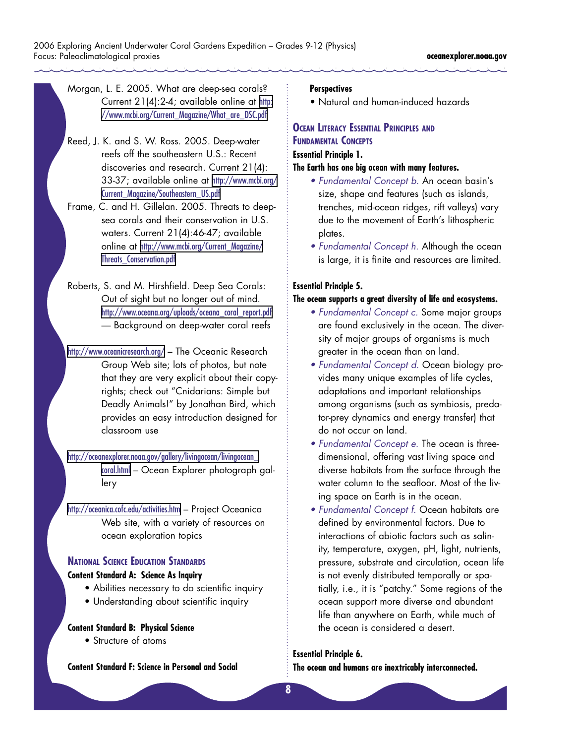Morgan, L. E. 2005. What are deep-sea corals? Current 21(4):2-4; available online at [http:](http://www.mcbi.org/Current_Magazine/What_are_DSC.pdf) [//www.mcbi.org/Current\\_Magazine/What\\_are\\_DSC.pdf](http://www.mcbi.org/Current_Magazine/What_are_DSC.pdf)

Reed, J. K. and S. W. Ross. 2005. Deep-water reefs off the southeastern U.S.: Recent discoveries and research. Current 21(4): 33-37; available online at [http://www.mcbi.org/](http://www.mcbi.org/Current_Magazine/Southeastern_US.pdf ) [Current\\_Magazine/Southeastern\\_US.pdf](http://www.mcbi.org/Current_Magazine/Southeastern_US.pdf )

Frame, C. and H. Gillelan. 2005. Threats to deepsea corals and their conservation in U.S. waters. Current 21(4):46-47; available online at [http://www.mcbi.org/Current\\_Magazine/](http://www.mcbi.org/Current_Magazine/Threats_Conservation.pdf) Threats Conservation.pdf

Roberts, S. and M. Hirshfield. Deep Sea Corals: Out of sight but no longer out of mind. [http://www.oceana.org/uploads/oceana\\_coral\\_report.pdf](http://www.oceana.org/uploads/oceana_coral_report.pdf) — Background on deep-water coral reefs

<http://www.oceanicresearch.org/> – The Oceanic Research Group Web site; lots of photos, but note that they are very explicit about their copyrights; check out "Cnidarians: Simple but Deadly Animals!" by Jonathan Bird, which provides an easy introduction designed for classroom use

[http://oceanexplorer.noaa.gov/gallery/livingocean/livingocean\\_](http://oceanexplorer.noaa.gov/gallery/livingocean/livingocean_coral.html) [coral.html](http://oceanexplorer.noaa.gov/gallery/livingocean/livingocean_coral.html) – Ocean Explorer photograph gallery

<http://oceanica.cofc.edu/activities.htm> – Project Oceanica Web site, with a variety of resources on ocean exploration topics

### **NATIONAL SCIENCE EDUCATION STANDARDS**

#### **Content Standard A: Science As Inquiry**

- Abilities necessary to do scientific inquiry
- Understanding about scientific inquiry

#### **Content Standard B: Physical Science**

• Structure of atoms

**Content Standard F: Science in Personal and Social** 

#### **Perspectives**

• Natural and human-induced hazards

#### **OCEAN LITERACY ESSENTIAL PRINCIPLES AND FUNDAMENTAL CONCEPTS Essential Principle 1.**

#### **The Earth has one big ocean with many features.**

- Fundamental Concept b. An ocean basin's size, shape and features (such as islands, trenches, mid-ocean ridges, rift valleys) vary due to the movement of Earth's lithospheric plates.
- Fundamental Concept h. Although the ocean is large, it is finite and resources are limited.

#### **Essential Principle 5.**

#### **The ocean supports a great diversity of life and ecosystems.**

- Fundamental Concept c. Some major groups are found exclusively in the ocean. The diversity of major groups of organisms is much greater in the ocean than on land.
- Fundamental Concept d. Ocean biology provides many unique examples of life cycles, adaptations and important relationships among organisms (such as symbiosis, predator-prey dynamics and energy transfer) that do not occur on land.
- Fundamental Concept e. The ocean is threedimensional, offering vast living space and diverse habitats from the surface through the water column to the seafloor. Most of the living space on Earth is in the ocean.
- Fundamental Concept f. Ocean habitats are defined by environmental factors. Due to interactions of abiotic factors such as salinity, temperature, oxygen, pH, light, nutrients, pressure, substrate and circulation, ocean life is not evenly distributed temporally or spatially, i.e., it is "patchy." Some regions of the ocean support more diverse and abundant life than anywhere on Earth, while much of the ocean is considered a desert.

#### **Essential Principle 6.**

**The ocean and humans are inextricably interconnected.**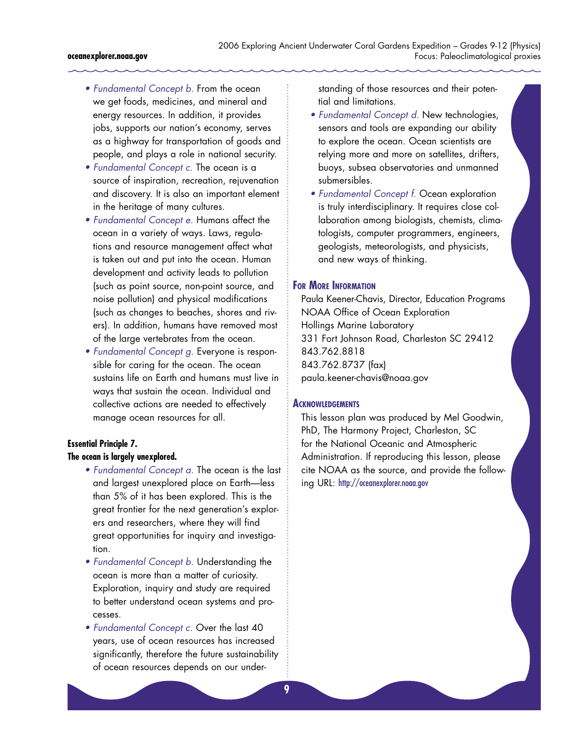#### **oceanexplorer.noaa.gov**

- Fundamental Concept b. From the ocean we get foods, medicines, and mineral and energy resources. In addition, it provides jobs, supports our nation's economy, serves as a highway for transportation of goods and people, and plays a role in national security.
- Fundamental Concept c. The ocean is a source of inspiration, recreation, rejuvenation and discovery. It is also an important element in the heritage of many cultures.
- Fundamental Concept e. Humans affect the ocean in a variety of ways. Laws, regulations and resource management affect what is taken out and put into the ocean. Human development and activity leads to pollution (such as point source, non-point source, and noise pollution) and physical modifications (such as changes to beaches, shores and rivers). In addition, humans have removed most of the large vertebrates from the ocean.
- Fundamental Concept g. Everyone is responsible for caring for the ocean. The ocean sustains life on Earth and humans must live in ways that sustain the ocean. Individual and collective actions are needed to effectively manage ocean resources for all.

#### **Essential Principle 7.**

#### **The ocean is largely unexplored.**

- Fundamental Concept a. The ocean is the last and largest unexplored place on Earth—less than 5% of it has been explored. This is the great frontier for the next generation's explorers and researchers, where they will find great opportunities for inquiry and investigation.
- Fundamental Concept b. Understanding the ocean is more than a matter of curiosity. Exploration, inquiry and study are required to better understand ocean systems and processes.
- Fundamental Concept c. Over the last 40 years, use of ocean resources has increased significantly, therefore the future sustainability of ocean resources depends on our under-

standing of those resources and their potential and limitations.

- Fundamental Concept d. New technologies, sensors and tools are expanding our ability to explore the ocean. Ocean scientists are relying more and more on satellites, drifters, buoys, subsea observatories and unmanned submersibles.
- Fundamental Concept f. Ocean exploration is truly interdisciplinary. It requires close collaboration among biologists, chemists, climatologists, computer programmers, engineers, geologists, meteorologists, and physicists, and new ways of thinking.

#### **FOR MORE INFORMATION**

Paula Keener-Chavis, Director, Education Programs NOAA Office of Ocean Exploration Hollings Marine Laboratory 331 Fort Johnson Road, Charleston SC 29412 843.762.8818 843.762.8737 (fax) paula.keener-chavis@noaa.gov

#### **ACKNOWLEDGEMENTS**

This lesson plan was produced by Mel Goodwin, PhD, The Harmony Project, Charleston, SC for the National Oceanic and Atmospheric Administration. If reproducing this lesson, please cite NOAA as the source, and provide the following URL: <http://oceanexplorer.noaa.gov>